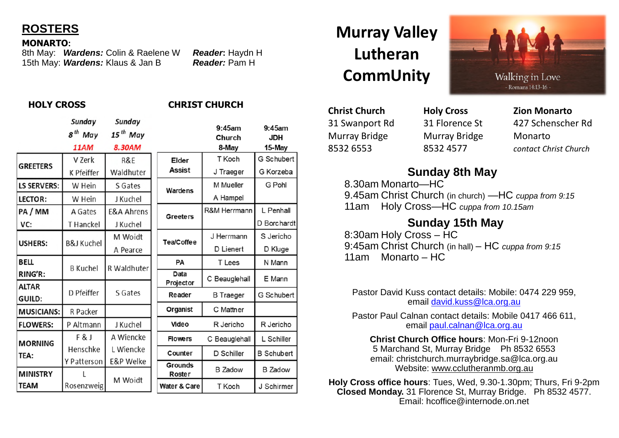

#### **MONARTO:**

8th May: *Wardens:* Colin & Raelene W *Reader***:** Haydn H 15th May: **Wardens:** Klaus & Jan B

### **HOLY CROSS CHRIST CHURCH**

|                        | Sunday                | Sunday                |                         |                     |                         |
|------------------------|-----------------------|-----------------------|-------------------------|---------------------|-------------------------|
|                        | 8 <sup>th</sup> May   | $15th$ May            |                         | $9:45$ am<br>Church | $9:45$ am<br><b>JDH</b> |
|                        | <b>11AM</b>           | 8.30AM                |                         | 8-May               | 15-May                  |
| <b>GREETERS</b>        | V Zerk                | R&E                   | <b>Elder</b>            | T Koch              | G Schubert              |
|                        | K Pfeiffer            | Waldhuter             | Assist                  | J Traeger           | G Korzeba               |
| <b>LS SERVERS:</b>     | W Hein                | S Gates               | Wardens                 | M Mueller           | G Pohl                  |
| <b>LECTOR:</b>         | W Hein                | J Kuchel              |                         | A Hampel            |                         |
| PA / MM                | A Gates               | <b>E&amp;A Ahrens</b> | Greeters                | R&M Herrmann        | L Penhall               |
| VC:                    | T Hanckel             | J Kuchel              |                         |                     | D Borchardt             |
| <b>USHERS:</b>         | <b>B&amp;J Kuchel</b> | M Woidt               | Tea/Coffee              | J Herrmann          | S Jericho               |
|                        |                       | A Pearce              |                         | D Lienert           | D Kluge                 |
| <b>BELL</b>            | <b>B</b> Kuchel       | R Waldhuter           | <b>PA</b>               | T Lees              | N Mann                  |
| RING'R:                |                       |                       | Data                    | C Beauglehall       | E Mann                  |
| <b>ALTAR</b>           | D Pfeiffer            | S Gates               | Projector               |                     |                         |
| GUILD:                 |                       |                       | Reader                  | <b>B</b> Traeger    | G Schubert              |
| <b>MUSICIANS:</b>      | R Packer              |                       | <b>Organist</b>         | C Mattner           |                         |
| <b>FLOWERS:</b>        | P Altmann             | J Kuchel              | Video                   | R Jericho           | R Jericho               |
| <b>MORNING</b><br>TEA: | F&J                   | A Wiencke             | <b>Flowers</b>          | C Beauglehall       | L Schiller              |
|                        | Henschke              | L Wiencke             | Counter                 | D Schiller          | <b>B</b> Schubert       |
|                        | Y Patterson           | <b>E&amp;P Welke</b>  | <b>Grounds</b>          |                     | <b>B</b> Zadow          |
| <b>MINISTRY</b>        | Rosenzweig            | M Woidt               | Roster                  | <b>B</b> Zadow      |                         |
| <b>TEAM</b>            |                       |                       | <b>Water &amp; Care</b> | T Koch              | J Schirmer              |

# **Murray Valley Lutheran CommUnity**

**Christ Church Holy Cross Zion Monarto** Murray Bridge Murray Bridge Monarto

31 Swanport Rd 31 Florence St 427 Schenscher Rd 8532 6553 8532 4577 *contact Christ Church*

# **Sunday 8th May**

8.30am Monarto—HC 9.45am Christ Church (in church) —HC *cuppa from 9:15* 11am Holy Cross—HC *cuppa from 10.15am* 

## **Sunday 15th May**

8:30am Holy Cross – HC 9:45am Christ Church (in hall) – HC *cuppa from 9:15* 11am Monarto – HC

Pastor David Kuss contact details: Mobile: 0474 229 959, email david.kuss@lca.org.au

Pastor Paul Calnan contact details: Mobile 0417 466 611, email paul.calnan@lca.org.au

**Christ Church Office hours**: Mon-Fri 9-12noon 5 Marchand St, Murray Bridge Ph 8532 6553 email: christchurch.murraybridge.sa@lca.org.au Website: www.cclutheranmb.org.au

**Holy Cross office hours**: Tues, Wed, 9.30-1.30pm; Thurs, Fri 9-2pm **Closed Monday.** 31 Florence St, Murray Bridge. Ph 8532 4577. Email: hcoffice@internode.on.net